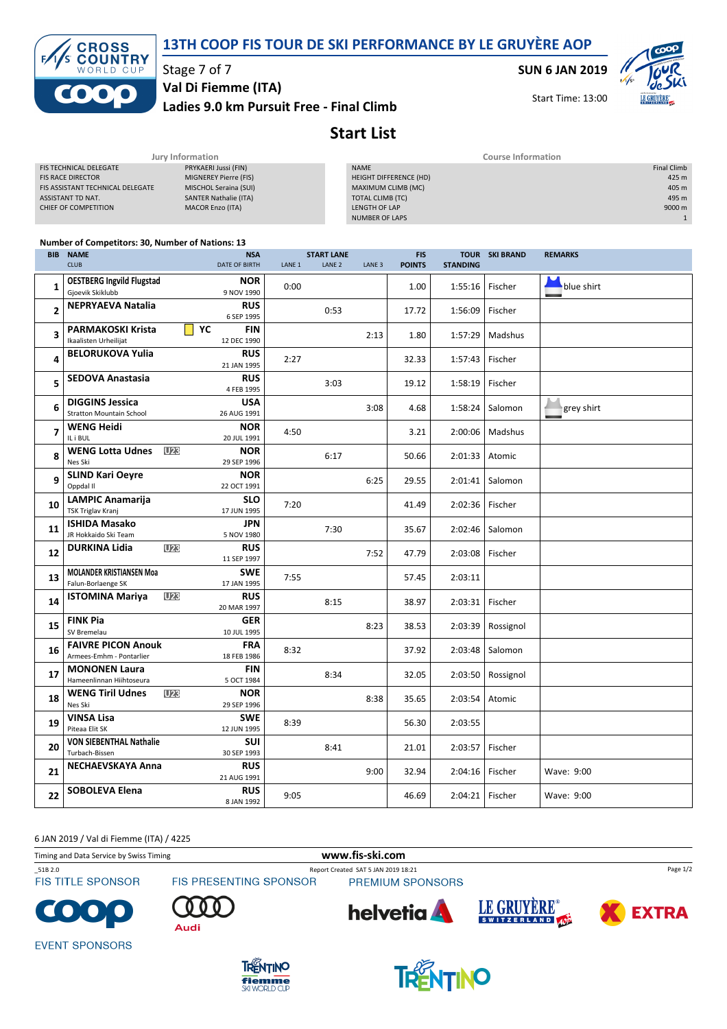



## Stage 7 of 7

Ladies 9.0 km Pursuit Free - Final Climb Val Di Fiemme (ITA)

SUN 6 JAN 2019

Start Time: 13:00



## Start List

| Jury Information                 |                              | <b>Course Information</b>     |                    |  |  |
|----------------------------------|------------------------------|-------------------------------|--------------------|--|--|
| FIS TECHNICAL DELEGATE           | PRYKAERI Jussi (FIN)         | <b>NAME</b>                   | <b>Final Climb</b> |  |  |
| <b>FIS RACE DIRECTOR</b>         | MIGNEREY Pierre (FIS)        | <b>HEIGHT DIFFERENCE (HD)</b> | 425 m              |  |  |
| FIS ASSISTANT TECHNICAL DELEGATE | MISCHOL Seraina (SUI)        | MAXIMUM CLIMB (MC)            | 405 m              |  |  |
| ASSISTANT TD NAT.                | <b>SANTER Nathalie (ITA)</b> | TOTAL CLIMB (TC)              | 495 m              |  |  |
| CHIEF OF COMPETITION             | <b>MACOR Enzo (ITA)</b>      | LENGTH OF LAP                 | 9000 m             |  |  |
|                                  |                              | NUMBER OF LAPS                |                    |  |  |
|                                  |                              |                               |                    |  |  |
|                                  |                              |                               |                    |  |  |

|                | <b>Number of Competitors: 30, Number of Nations: 13</b>   |                                              |                   |                   |                   |               |                 |                       |                |
|----------------|-----------------------------------------------------------|----------------------------------------------|-------------------|-------------------|-------------------|---------------|-----------------|-----------------------|----------------|
|                | <b>BIB NAME</b>                                           | <b>NSA</b>                                   |                   | <b>START LANE</b> |                   | <b>FIS</b>    |                 | <b>TOUR SKI BRAND</b> | <b>REMARKS</b> |
|                | <b>CLUB</b>                                               | DATE OF BIRTH                                | LANE <sub>1</sub> | LANE <sub>2</sub> | LANE <sub>3</sub> | <b>POINTS</b> | <b>STANDING</b> |                       |                |
| $\mathbf{1}$   | <b>OESTBERG Ingvild Flugstad</b><br>Gjoevik Skiklubb      | <b>NOR</b><br>9 NOV 1990                     | 0:00              |                   |                   | 1.00          | 1:55:16         | Fischer               | blue shirt     |
| $\overline{2}$ | <b>NEPRYAEVA Natalia</b>                                  | <b>RUS</b><br>6 SEP 1995                     |                   | 0:53              |                   | 17.72         | 1:56:09         | Fischer               |                |
| 3              | <b>PARMAKOSKI Krista</b><br>Ikaalisten Urheilijat         | YC<br><b>FIN</b><br>12 DEC 1990              |                   |                   | 2:13              | 1.80          | 1:57:29         | Madshus               |                |
| 4              | <b>BELORUKOVA Yulia</b>                                   | <b>RUS</b><br>21 JAN 1995                    | 2:27              |                   |                   | 32.33         | 1:57:43         | Fischer               |                |
| 5              | <b>SEDOVA Anastasia</b>                                   | <b>RUS</b><br>4 FEB 1995                     |                   | 3:03              |                   | 19.12         | 1:58:19         | Fischer               |                |
| 6              | <b>DIGGINS Jessica</b><br><b>Stratton Mountain School</b> | <b>USA</b><br>26 AUG 1991                    |                   |                   | 3:08              | 4.68          | 1:58:24         | Salomon               | grey shirt     |
| $\overline{7}$ | <b>WENG Heidi</b><br>IL i BUL                             | <b>NOR</b><br>20 JUL 1991                    | 4:50              |                   |                   | 3.21          | 2:00:06         | Madshus               |                |
| 8              | <b>WENG Lotta Udnes</b><br>Nes Ski                        | U <sub>23</sub><br><b>NOR</b><br>29 SEP 1996 |                   | 6:17              |                   | 50.66         | 2:01:33         | Atomic                |                |
| 9              | <b>SLIND Kari Oeyre</b><br>Oppdal II                      | <b>NOR</b><br>22 OCT 1991                    |                   |                   | 6:25              | 29.55         | 2:01:41         | Salomon               |                |
| 10             | <b>LAMPIC Anamarija</b><br>TSK Triglav Kranj              | <b>SLO</b><br>17 JUN 1995                    | 7:20              |                   |                   | 41.49         | 2:02:36         | Fischer               |                |
| 11             | <b>ISHIDA Masako</b><br>JR Hokkaido Ski Team              | <b>JPN</b><br>5 NOV 1980                     |                   | 7:30              |                   | 35.67         | 2:02:46         | Salomon               |                |
| 12             | <b>DURKINA Lidia</b>                                      | U23<br><b>RUS</b><br>11 SEP 1997             |                   |                   | 7:52              | 47.79         | 2:03:08         | Fischer               |                |
| 13             | <b>MOLANDER KRISTIANSEN Moa</b><br>Falun-Borlaenge SK     | <b>SWE</b><br>17 JAN 1995                    | 7:55              |                   |                   | 57.45         | 2:03:11         |                       |                |
| 14             | <b>ISTOMINA Mariya</b>                                    | <b>U23</b><br><b>RUS</b><br>20 MAR 1997      |                   | 8:15              |                   | 38.97         | 2:03:31         | Fischer               |                |
| 15             | <b>FINK Pia</b><br>SV Bremelau                            | <b>GER</b><br>10 JUL 1995                    |                   |                   | 8:23              | 38.53         | 2:03:39         | Rossignol             |                |
| 16             | <b>FAIVRE PICON Anouk</b><br>Armees-Emhm - Pontarlier     | <b>FRA</b><br>18 FEB 1986                    | 8:32              |                   |                   | 37.92         | 2:03:48         | Salomon               |                |
| 17             | <b>MONONEN Laura</b><br>Hameenlinnan Hiihtoseura          | <b>FIN</b><br>5 OCT 1984                     |                   | 8:34              |                   | 32.05         | 2:03:50         | Rossignol             |                |
| 18             | <b>WENG Tiril Udnes</b><br>Nes Ski                        | U23<br><b>NOR</b><br>29 SEP 1996             |                   |                   | 8:38              | 35.65         | 2:03:54         | Atomic                |                |
| 19             | <b>VINSA Lisa</b><br>Piteaa Elit SK                       | <b>SWE</b><br>12 JUN 1995                    | 8:39              |                   |                   | 56.30         | 2:03:55         |                       |                |
| 20             | <b>VON SIEBENTHAL Nathalie</b><br>Turbach-Bissen          | SUI<br>30 SEP 1993                           |                   | 8:41              |                   | 21.01         | 2:03:57         | Fischer               |                |
| 21             | <b>NECHAEVSKAYA Anna</b>                                  | <b>RUS</b><br>21 AUG 1991                    |                   |                   | 9:00              | 32.94         | 2:04:16         | Fischer               | Wave: 9:00     |
| 22             | <b>SOBOLEVA Elena</b>                                     | <b>RUS</b><br>8 JAN 1992                     | 9:05              |                   |                   | 46.69         | 2:04:21         | Fischer               | Wave: 9:00     |

6 JAN 2019 / Val di Fiemme (ITA) / 4225

Timing and Data Service by Swiss Timing www.fis-ski.com

**FIS TITLE SPONSOR** 

FIS PRESENTING SPONSOR

\_51B 2.0 Report Created SAT 5 JAN 2019 18:21 PREMIUM SPONSORS



Audi







Page 1/2

**EVENT SPONSORS**